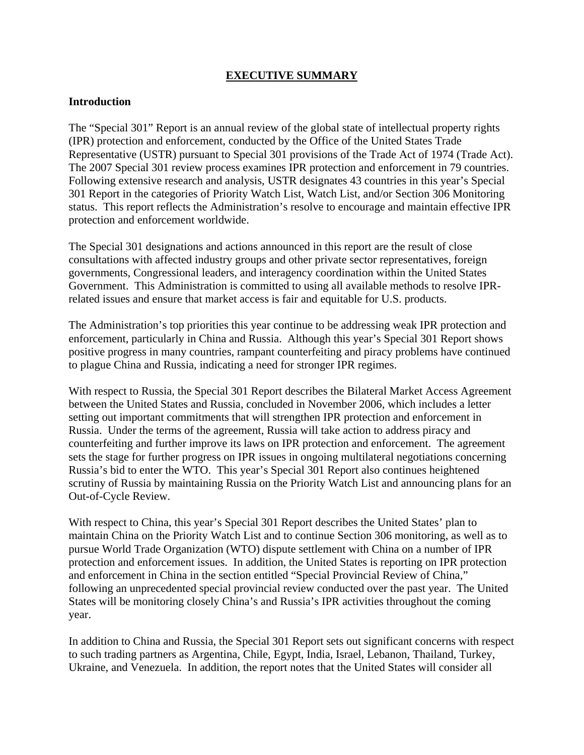# **EXECUTIVE SUMMARY**

#### **Introduction**

The "Special 301" Report is an annual review of the global state of intellectual property rights (IPR) protection and enforcement, conducted by the Office of the United States Trade Representative (USTR) pursuant to Special 301 provisions of the Trade Act of 1974 (Trade Act). The 2007 Special 301 review process examines IPR protection and enforcement in 79 countries. Following extensive research and analysis, USTR designates 43 countries in this year's Special 301 Report in the categories of Priority Watch List, Watch List, and/or Section 306 Monitoring status. This report reflects the Administration's resolve to encourage and maintain effective IPR protection and enforcement worldwide.

The Special 301 designations and actions announced in this report are the result of close consultations with affected industry groups and other private sector representatives, foreign governments, Congressional leaders, and interagency coordination within the United States Government. This Administration is committed to using all available methods to resolve IPRrelated issues and ensure that market access is fair and equitable for U.S. products.

The Administration's top priorities this year continue to be addressing weak IPR protection and enforcement, particularly in China and Russia. Although this year's Special 301 Report shows positive progress in many countries, rampant counterfeiting and piracy problems have continued to plague China and Russia, indicating a need for stronger IPR regimes.

With respect to Russia, the Special 301 Report describes the Bilateral Market Access Agreement between the United States and Russia, concluded in November 2006, which includes a letter setting out important commitments that will strengthen IPR protection and enforcement in Russia. Under the terms of the agreement, Russia will take action to address piracy and counterfeiting and further improve its laws on IPR protection and enforcement. The agreement sets the stage for further progress on IPR issues in ongoing multilateral negotiations concerning Russia's bid to enter the WTO. This year's Special 301 Report also continues heightened scrutiny of Russia by maintaining Russia on the Priority Watch List and announcing plans for an Out-of-Cycle Review.

With respect to China, this year's Special 301 Report describes the United States' plan to maintain China on the Priority Watch List and to continue Section 306 monitoring, as well as to pursue World Trade Organization (WTO) dispute settlement with China on a number of IPR protection and enforcement issues. In addition, the United States is reporting on IPR protection and enforcement in China in the section entitled "Special Provincial Review of China," following an unprecedented special provincial review conducted over the past year. The United States will be monitoring closely China's and Russia's IPR activities throughout the coming year.

In addition to China and Russia, the Special 301 Report sets out significant concerns with respect to such trading partners as Argentina, Chile, Egypt, India, Israel, Lebanon, Thailand, Turkey, Ukraine, and Venezuela. In addition, the report notes that the United States will consider all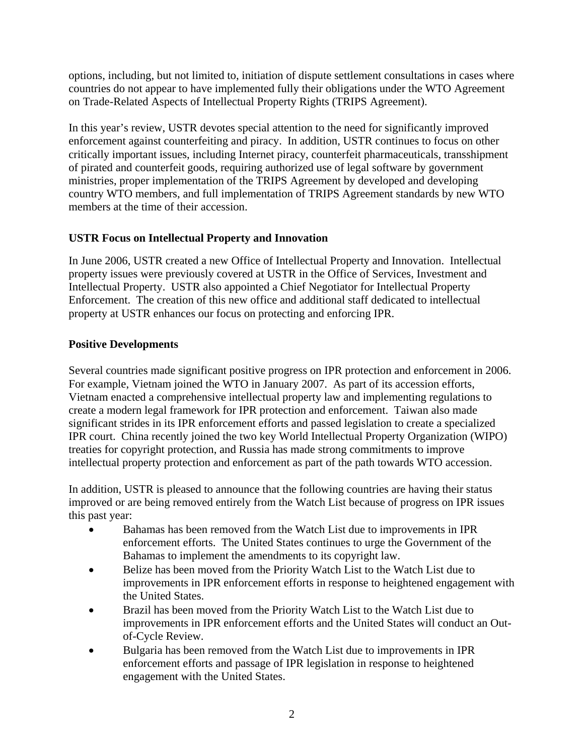options, including, but not limited to, initiation of dispute settlement consultations in cases where countries do not appear to have implemented fully their obligations under the WTO Agreement on Trade-Related Aspects of Intellectual Property Rights (TRIPS Agreement).

In this year's review, USTR devotes special attention to the need for significantly improved enforcement against counterfeiting and piracy. In addition, USTR continues to focus on other critically important issues, including Internet piracy, counterfeit pharmaceuticals, transshipment of pirated and counterfeit goods, requiring authorized use of legal software by government ministries, proper implementation of the TRIPS Agreement by developed and developing country WTO members, and full implementation of TRIPS Agreement standards by new WTO members at the time of their accession.

# **USTR Focus on Intellectual Property and Innovation**

In June 2006, USTR created a new Office of Intellectual Property and Innovation. Intellectual property issues were previously covered at USTR in the Office of Services, Investment and Intellectual Property. USTR also appointed a Chief Negotiator for Intellectual Property Enforcement. The creation of this new office and additional staff dedicated to intellectual property at USTR enhances our focus on protecting and enforcing IPR.

# **Positive Developments**

Several countries made significant positive progress on IPR protection and enforcement in 2006. For example, Vietnam joined the WTO in January 2007. As part of its accession efforts, Vietnam enacted a comprehensive intellectual property law and implementing regulations to create a modern legal framework for IPR protection and enforcement. Taiwan also made significant strides in its IPR enforcement efforts and passed legislation to create a specialized IPR court. China recently joined the two key World Intellectual Property Organization (WIPO) treaties for copyright protection, and Russia has made strong commitments to improve intellectual property protection and enforcement as part of the path towards WTO accession.

In addition, USTR is pleased to announce that the following countries are having their status improved or are being removed entirely from the Watch List because of progress on IPR issues this past year:

- Bahamas has been removed from the Watch List due to improvements in IPR enforcement efforts. The United States continues to urge the Government of the Bahamas to implement the amendments to its copyright law.
- Belize has been moved from the Priority Watch List to the Watch List due to improvements in IPR enforcement efforts in response to heightened engagement with the United States.
- Brazil has been moved from the Priority Watch List to the Watch List due to improvements in IPR enforcement efforts and the United States will conduct an Outof-Cycle Review.
- Bulgaria has been removed from the Watch List due to improvements in IPR enforcement efforts and passage of IPR legislation in response to heightened engagement with the United States.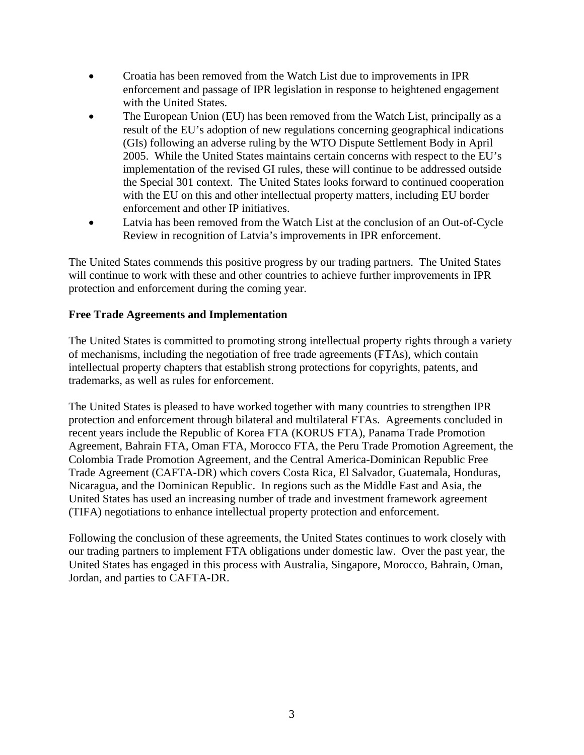- Croatia has been removed from the Watch List due to improvements in IPR enforcement and passage of IPR legislation in response to heightened engagement with the United States.
- The European Union (EU) has been removed from the Watch List, principally as a result of the EU's adoption of new regulations concerning geographical indications (GIs) following an adverse ruling by the WTO Dispute Settlement Body in April 2005. While the United States maintains certain concerns with respect to the EU's implementation of the revised GI rules, these will continue to be addressed outside the Special 301 context. The United States looks forward to continued cooperation with the EU on this and other intellectual property matters, including EU border enforcement and other IP initiatives.
- Latvia has been removed from the Watch List at the conclusion of an Out-of-Cycle Review in recognition of Latvia's improvements in IPR enforcement.

The United States commends this positive progress by our trading partners. The United States will continue to work with these and other countries to achieve further improvements in IPR protection and enforcement during the coming year.

## **Free Trade Agreements and Implementation**

The United States is committed to promoting strong intellectual property rights through a variety of mechanisms, including the negotiation of free trade agreements (FTAs), which contain intellectual property chapters that establish strong protections for copyrights, patents, and trademarks, as well as rules for enforcement.

The United States is pleased to have worked together with many countries to strengthen IPR protection and enforcement through bilateral and multilateral FTAs. Agreements concluded in recent years include the Republic of Korea FTA (KORUS FTA), Panama Trade Promotion Agreement, Bahrain FTA, Oman FTA, Morocco FTA, the Peru Trade Promotion Agreement, the Colombia Trade Promotion Agreement, and the Central America-Dominican Republic Free Trade Agreement (CAFTA-DR) which covers Costa Rica, El Salvador, Guatemala, Honduras, Nicaragua, and the Dominican Republic. In regions such as the Middle East and Asia, the United States has used an increasing number of trade and investment framework agreement (TIFA) negotiations to enhance intellectual property protection and enforcement.

Following the conclusion of these agreements, the United States continues to work closely with our trading partners to implement FTA obligations under domestic law. Over the past year, the United States has engaged in this process with Australia, Singapore, Morocco, Bahrain, Oman, Jordan, and parties to CAFTA-DR.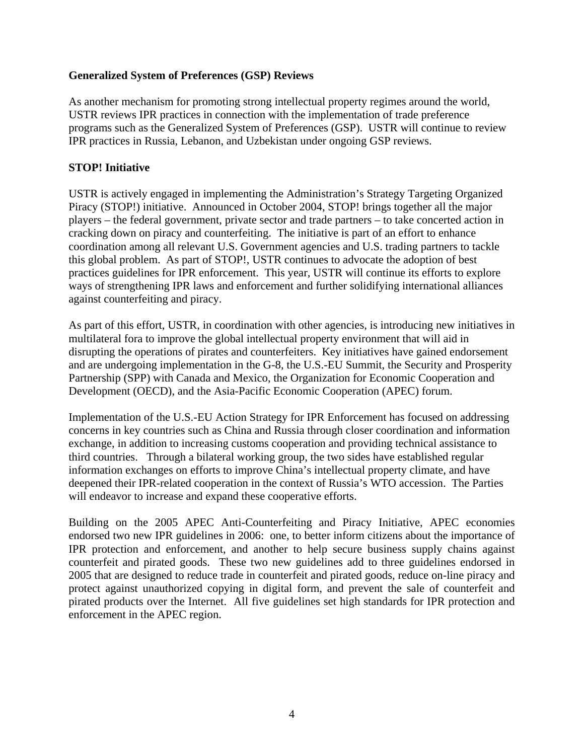## **Generalized System of Preferences (GSP) Reviews**

As another mechanism for promoting strong intellectual property regimes around the world, USTR reviews IPR practices in connection with the implementation of trade preference programs such as the Generalized System of Preferences (GSP). USTR will continue to review IPR practices in Russia, Lebanon, and Uzbekistan under ongoing GSP reviews.

## **STOP! Initiative**

USTR is actively engaged in implementing the Administration's Strategy Targeting Organized Piracy (STOP!) initiative. Announced in October 2004, STOP! brings together all the major players – the federal government, private sector and trade partners – to take concerted action in cracking down on piracy and counterfeiting. The initiative is part of an effort to enhance coordination among all relevant U.S. Government agencies and U.S. trading partners to tackle this global problem. As part of STOP!, USTR continues to advocate the adoption of best practices guidelines for IPR enforcement. This year, USTR will continue its efforts to explore ways of strengthening IPR laws and enforcement and further solidifying international alliances against counterfeiting and piracy.

As part of this effort, USTR, in coordination with other agencies, is introducing new initiatives in multilateral fora to improve the global intellectual property environment that will aid in disrupting the operations of pirates and counterfeiters. Key initiatives have gained endorsement and are undergoing implementation in the G-8, the U.S.-EU Summit, the Security and Prosperity Partnership (SPP) with Canada and Mexico, the Organization for Economic Cooperation and Development (OECD), and the Asia-Pacific Economic Cooperation (APEC) forum.

Implementation of the U.S.-EU Action Strategy for IPR Enforcement has focused on addressing concerns in key countries such as China and Russia through closer coordination and information exchange, in addition to increasing customs cooperation and providing technical assistance to third countries. Through a bilateral working group, the two sides have established regular information exchanges on efforts to improve China's intellectual property climate, and have deepened their IPR-related cooperation in the context of Russia's WTO accession. The Parties will endeavor to increase and expand these cooperative efforts.

Building on the 2005 APEC Anti-Counterfeiting and Piracy Initiative, APEC economies endorsed two new IPR guidelines in 2006: one, to better inform citizens about the importance of IPR protection and enforcement, and another to help secure business supply chains against counterfeit and pirated goods. These two new guidelines add to three guidelines endorsed in 2005 that are designed to reduce trade in counterfeit and pirated goods, reduce on-line piracy and protect against unauthorized copying in digital form, and prevent the sale of counterfeit and pirated products over the Internet. All five guidelines set high standards for IPR protection and enforcement in the APEC region.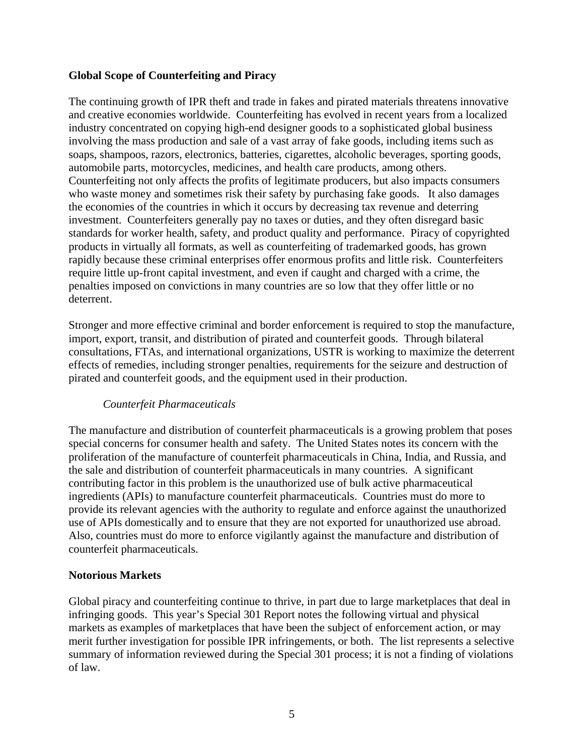## **Global Scope of Counterfeiting and Piracy**

The continuing growth of IPR theft and trade in fakes and pirated materials threatens innovative and creative economies worldwide. Counterfeiting has evolved in recent years from a localized industry concentrated on copying high-end designer goods to a sophisticated global business involving the mass production and sale of a vast array of fake goods, including items such as soaps, shampoos, razors, electronics, batteries, cigarettes, alcoholic beverages, sporting goods, automobile parts, motorcycles, medicines, and health care products, among others. Counterfeiting not only affects the profits of legitimate producers, but also impacts consumers who waste money and sometimes risk their safety by purchasing fake goods. It also damages the economies of the countries in which it occurs by decreasing tax revenue and deterring investment. Counterfeiters generally pay no taxes or duties, and they often disregard basic standards for worker health, safety, and product quality and performance. Piracy of copyrighted products in virtually all formats, as well as counterfeiting of trademarked goods, has grown rapidly because these criminal enterprises offer enormous profits and little risk. Counterfeiters require little up-front capital investment, and even if caught and charged with a crime, the penalties imposed on convictions in many countries are so low that they offer little or no deterrent.

Stronger and more effective criminal and border enforcement is required to stop the manufacture, import, export, transit, and distribution of pirated and counterfeit goods. Through bilateral consultations, FTAs, and international organizations, USTR is working to maximize the deterrent effects of remedies, including stronger penalties, requirements for the seizure and destruction of pirated and counterfeit goods, and the equipment used in their production.

# *Counterfeit Pharmaceuticals*

The manufacture and distribution of counterfeit pharmaceuticals is a growing problem that poses special concerns for consumer health and safety. The United States notes its concern with the proliferation of the manufacture of counterfeit pharmaceuticals in China, India, and Russia, and the sale and distribution of counterfeit pharmaceuticals in many countries. A significant contributing factor in this problem is the unauthorized use of bulk active pharmaceutical ingredients (APIs) to manufacture counterfeit pharmaceuticals. Countries must do more to provide its relevant agencies with the authority to regulate and enforce against the unauthorized use of APIs domestically and to ensure that they are not exported for unauthorized use abroad. Also, countries must do more to enforce vigilantly against the manufacture and distribution of counterfeit pharmaceuticals.

#### **Notorious Markets**

Global piracy and counterfeiting continue to thrive, in part due to large marketplaces that deal in infringing goods. This year's Special 301 Report notes the following virtual and physical markets as examples of marketplaces that have been the subject of enforcement action, or may merit further investigation for possible IPR infringements, or both. The list represents a selective summary of information reviewed during the Special 301 process; it is not a finding of violations of law.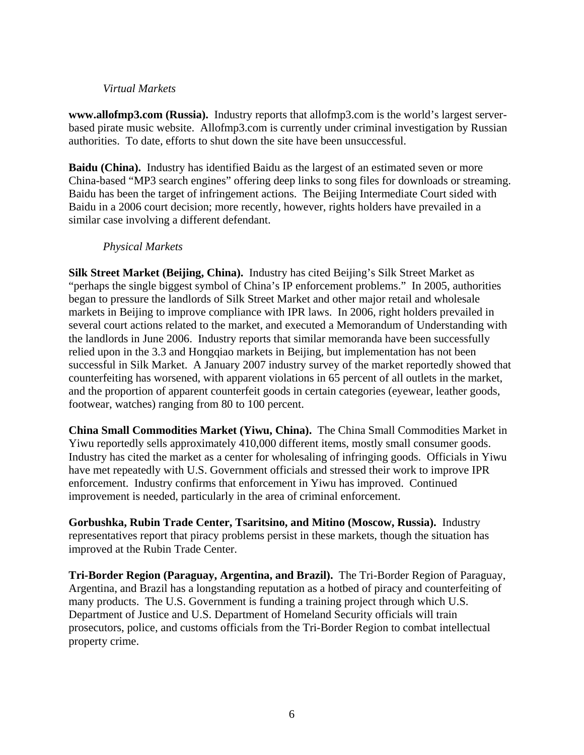#### *Virtual Markets*

**www.allofmp3.com (Russia).** Industry reports that allofmp3.com is the world's largest serverbased pirate music website. Allofmp3.com is currently under criminal investigation by Russian authorities. To date, efforts to shut down the site have been unsuccessful.

**Baidu (China).** Industry has identified Baidu as the largest of an estimated seven or more China-based "MP3 search engines" offering deep links to song files for downloads or streaming. Baidu has been the target of infringement actions. The Beijing Intermediate Court sided with Baidu in a 2006 court decision; more recently, however, rights holders have prevailed in a similar case involving a different defendant.

#### *Physical Markets*

**Silk Street Market (Beijing, China).** Industry has cited Beijing's Silk Street Market as "perhaps the single biggest symbol of China's IP enforcement problems." In 2005, authorities began to pressure the landlords of Silk Street Market and other major retail and wholesale markets in Beijing to improve compliance with IPR laws. In 2006, right holders prevailed in several court actions related to the market, and executed a Memorandum of Understanding with the landlords in June 2006. Industry reports that similar memoranda have been successfully relied upon in the 3.3 and Hongqiao markets in Beijing, but implementation has not been successful in Silk Market. A January 2007 industry survey of the market reportedly showed that counterfeiting has worsened, with apparent violations in 65 percent of all outlets in the market, and the proportion of apparent counterfeit goods in certain categories (eyewear, leather goods, footwear, watches) ranging from 80 to 100 percent.

**China Small Commodities Market (Yiwu, China).** The China Small Commodities Market in Yiwu reportedly sells approximately 410,000 different items, mostly small consumer goods. Industry has cited the market as a center for wholesaling of infringing goods. Officials in Yiwu have met repeatedly with U.S. Government officials and stressed their work to improve IPR enforcement. Industry confirms that enforcement in Yiwu has improved. Continued improvement is needed, particularly in the area of criminal enforcement.

**Gorbushka, Rubin Trade Center, Tsaritsino, and Mitino (Moscow, Russia).** Industry representatives report that piracy problems persist in these markets, though the situation has improved at the Rubin Trade Center.

**Tri-Border Region (Paraguay, Argentina, and Brazil).** The Tri-Border Region of Paraguay, Argentina, and Brazil has a longstanding reputation as a hotbed of piracy and counterfeiting of many products. The U.S. Government is funding a training project through which U.S. Department of Justice and U.S. Department of Homeland Security officials will train prosecutors, police, and customs officials from the Tri-Border Region to combat intellectual property crime.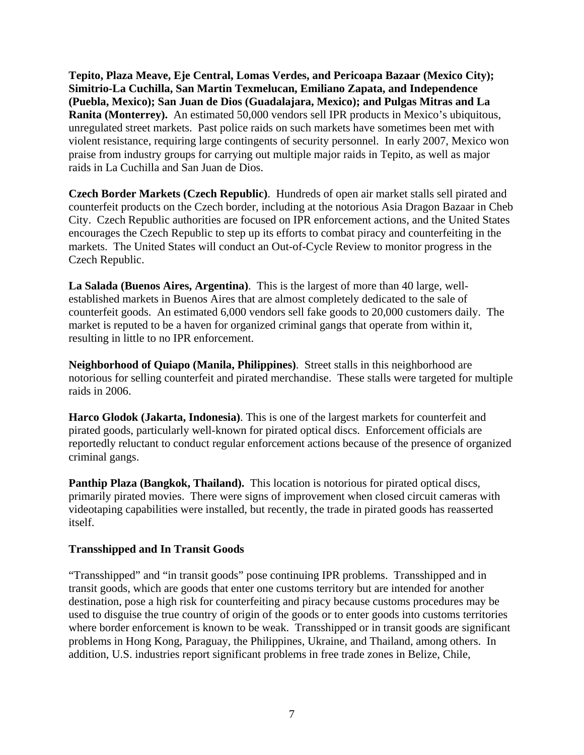**Tepito, Plaza Meave, Eje Central, Lomas Verdes, and Pericoapa Bazaar (Mexico City); Simitrio-La Cuchilla, San Martin Texmelucan, Emiliano Zapata, and Independence (Puebla, Mexico); San Juan de Dios (Guadalajara, Mexico); and Pulgas Mitras and La Ranita (Monterrey).** An estimated 50,000 vendors sell IPR products in Mexico's ubiquitous, unregulated street markets. Past police raids on such markets have sometimes been met with violent resistance, requiring large contingents of security personnel. In early 2007, Mexico won praise from industry groups for carrying out multiple major raids in Tepito, as well as major raids in La Cuchilla and San Juan de Dios.

**Czech Border Markets (Czech Republic)**. Hundreds of open air market stalls sell pirated and counterfeit products on the Czech border, including at the notorious Asia Dragon Bazaar in Cheb City. Czech Republic authorities are focused on IPR enforcement actions, and the United States encourages the Czech Republic to step up its efforts to combat piracy and counterfeiting in the markets. The United States will conduct an Out-of-Cycle Review to monitor progress in the Czech Republic.

**La Salada (Buenos Aires, Argentina)**. This is the largest of more than 40 large, wellestablished markets in Buenos Aires that are almost completely dedicated to the sale of counterfeit goods. An estimated 6,000 vendors sell fake goods to 20,000 customers daily. The market is reputed to be a haven for organized criminal gangs that operate from within it, resulting in little to no IPR enforcement.

**Neighborhood of Quiapo (Manila, Philippines)**. Street stalls in this neighborhood are notorious for selling counterfeit and pirated merchandise. These stalls were targeted for multiple raids in 2006.

**Harco Glodok (Jakarta, Indonesia)**. This is one of the largest markets for counterfeit and pirated goods, particularly well-known for pirated optical discs. Enforcement officials are reportedly reluctant to conduct regular enforcement actions because of the presence of organized criminal gangs.

**Panthip Plaza (Bangkok, Thailand).** This location is notorious for pirated optical discs, primarily pirated movies. There were signs of improvement when closed circuit cameras with videotaping capabilities were installed, but recently, the trade in pirated goods has reasserted itself.

#### **Transshipped and In Transit Goods**

"Transshipped" and "in transit goods" pose continuing IPR problems. Transshipped and in transit goods, which are goods that enter one customs territory but are intended for another destination, pose a high risk for counterfeiting and piracy because customs procedures may be used to disguise the true country of origin of the goods or to enter goods into customs territories where border enforcement is known to be weak. Transshipped or in transit goods are significant problems in Hong Kong, Paraguay, the Philippines, Ukraine, and Thailand, among others. In addition, U.S. industries report significant problems in free trade zones in Belize, Chile,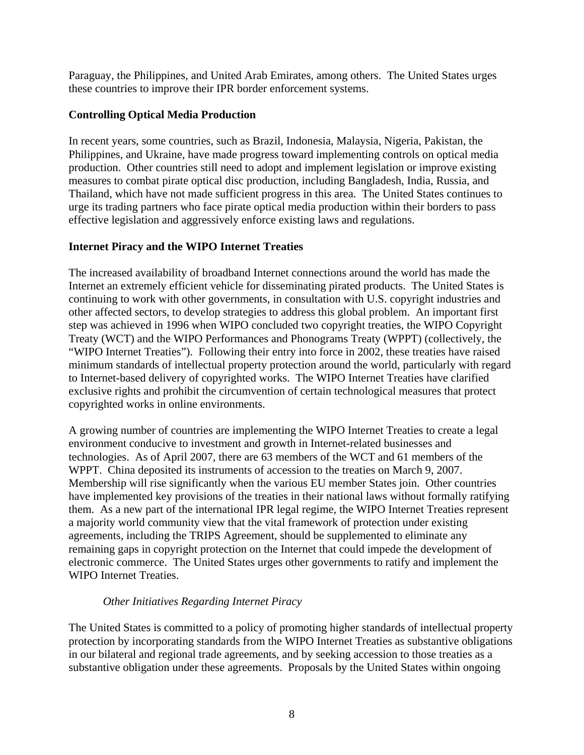Paraguay, the Philippines, and United Arab Emirates, among others. The United States urges these countries to improve their IPR border enforcement systems.

# **Controlling Optical Media Production**

In recent years, some countries, such as Brazil, Indonesia, Malaysia, Nigeria, Pakistan, the Philippines, and Ukraine, have made progress toward implementing controls on optical media production. Other countries still need to adopt and implement legislation or improve existing measures to combat pirate optical disc production, including Bangladesh, India, Russia, and Thailand, which have not made sufficient progress in this area. The United States continues to urge its trading partners who face pirate optical media production within their borders to pass effective legislation and aggressively enforce existing laws and regulations.

# **Internet Piracy and the WIPO Internet Treaties**

The increased availability of broadband Internet connections around the world has made the Internet an extremely efficient vehicle for disseminating pirated products. The United States is continuing to work with other governments, in consultation with U.S. copyright industries and other affected sectors, to develop strategies to address this global problem. An important first step was achieved in 1996 when WIPO concluded two copyright treaties, the WIPO Copyright Treaty (WCT) and the WIPO Performances and Phonograms Treaty (WPPT) (collectively, the "WIPO Internet Treaties"). Following their entry into force in 2002, these treaties have raised minimum standards of intellectual property protection around the world, particularly with regard to Internet-based delivery of copyrighted works. The WIPO Internet Treaties have clarified exclusive rights and prohibit the circumvention of certain technological measures that protect copyrighted works in online environments.

A growing number of countries are implementing the WIPO Internet Treaties to create a legal environment conducive to investment and growth in Internet-related businesses and technologies. As of April 2007, there are 63 members of the WCT and 61 members of the WPPT. China deposited its instruments of accession to the treaties on March 9, 2007. Membership will rise significantly when the various EU member States join. Other countries have implemented key provisions of the treaties in their national laws without formally ratifying them. As a new part of the international IPR legal regime, the WIPO Internet Treaties represent a majority world community view that the vital framework of protection under existing agreements, including the TRIPS Agreement, should be supplemented to eliminate any remaining gaps in copyright protection on the Internet that could impede the development of electronic commerce. The United States urges other governments to ratify and implement the WIPO Internet Treaties.

# *Other Initiatives Regarding Internet Piracy*

The United States is committed to a policy of promoting higher standards of intellectual property protection by incorporating standards from the WIPO Internet Treaties as substantive obligations in our bilateral and regional trade agreements, and by seeking accession to those treaties as a substantive obligation under these agreements. Proposals by the United States within ongoing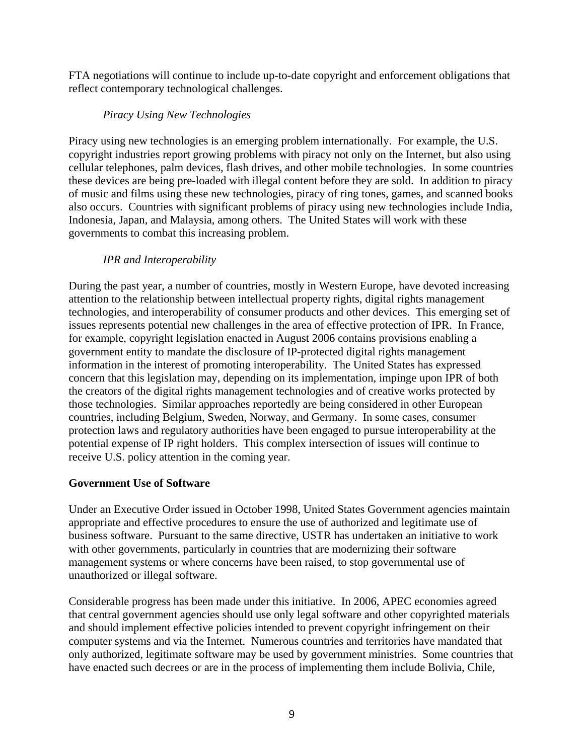FTA negotiations will continue to include up-to-date copyright and enforcement obligations that reflect contemporary technological challenges.

# *Piracy Using New Technologies*

Piracy using new technologies is an emerging problem internationally. For example, the U.S. copyright industries report growing problems with piracy not only on the Internet, but also using cellular telephones, palm devices, flash drives, and other mobile technologies. In some countries these devices are being pre-loaded with illegal content before they are sold. In addition to piracy of music and films using these new technologies, piracy of ring tones, games, and scanned books also occurs. Countries with significant problems of piracy using new technologies include India, Indonesia, Japan, and Malaysia, among others. The United States will work with these governments to combat this increasing problem.

# *IPR and Interoperability*

During the past year, a number of countries, mostly in Western Europe, have devoted increasing attention to the relationship between intellectual property rights, digital rights management technologies, and interoperability of consumer products and other devices. This emerging set of issues represents potential new challenges in the area of effective protection of IPR. In France, for example, copyright legislation enacted in August 2006 contains provisions enabling a government entity to mandate the disclosure of IP-protected digital rights management information in the interest of promoting interoperability. The United States has expressed concern that this legislation may, depending on its implementation, impinge upon IPR of both the creators of the digital rights management technologies and of creative works protected by those technologies. Similar approaches reportedly are being considered in other European countries, including Belgium, Sweden, Norway, and Germany. In some cases, consumer protection laws and regulatory authorities have been engaged to pursue interoperability at the potential expense of IP right holders. This complex intersection of issues will continue to receive U.S. policy attention in the coming year.

# **Government Use of Software**

Under an Executive Order issued in October 1998, United States Government agencies maintain appropriate and effective procedures to ensure the use of authorized and legitimate use of business software. Pursuant to the same directive, USTR has undertaken an initiative to work with other governments, particularly in countries that are modernizing their software management systems or where concerns have been raised, to stop governmental use of unauthorized or illegal software.

Considerable progress has been made under this initiative. In 2006, APEC economies agreed that central government agencies should use only legal software and other copyrighted materials and should implement effective policies intended to prevent copyright infringement on their computer systems and via the Internet. Numerous countries and territories have mandated that only authorized, legitimate software may be used by government ministries. Some countries that have enacted such decrees or are in the process of implementing them include Bolivia, Chile,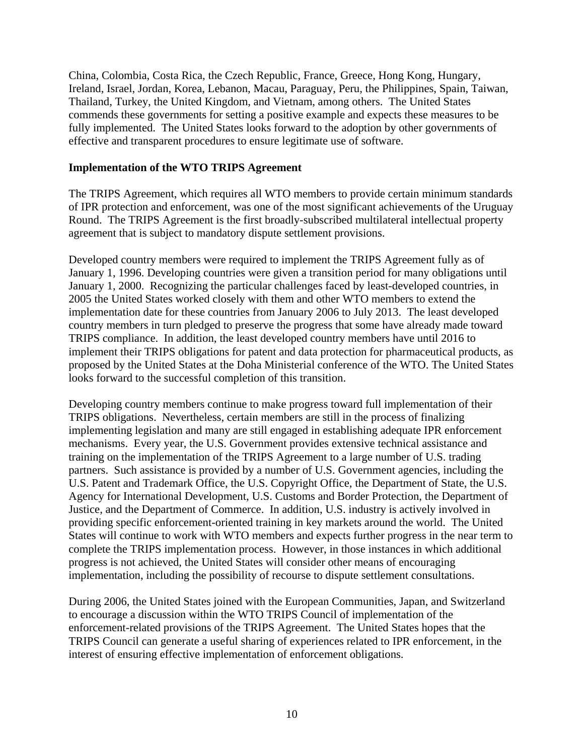China, Colombia, Costa Rica, the Czech Republic, France, Greece, Hong Kong, Hungary, Ireland, Israel, Jordan, Korea, Lebanon, Macau, Paraguay, Peru, the Philippines, Spain, Taiwan, Thailand, Turkey, the United Kingdom, and Vietnam, among others. The United States commends these governments for setting a positive example and expects these measures to be fully implemented. The United States looks forward to the adoption by other governments of effective and transparent procedures to ensure legitimate use of software.

#### **Implementation of the WTO TRIPS Agreement**

The TRIPS Agreement, which requires all WTO members to provide certain minimum standards of IPR protection and enforcement, was one of the most significant achievements of the Uruguay Round. The TRIPS Agreement is the first broadly-subscribed multilateral intellectual property agreement that is subject to mandatory dispute settlement provisions.

Developed country members were required to implement the TRIPS Agreement fully as of January 1, 1996. Developing countries were given a transition period for many obligations until January 1, 2000. Recognizing the particular challenges faced by least-developed countries, in 2005 the United States worked closely with them and other WTO members to extend the implementation date for these countries from January 2006 to July 2013. The least developed country members in turn pledged to preserve the progress that some have already made toward TRIPS compliance. In addition, the least developed country members have until 2016 to implement their TRIPS obligations for patent and data protection for pharmaceutical products, as proposed by the United States at the Doha Ministerial conference of the WTO. The United States looks forward to the successful completion of this transition.

Developing country members continue to make progress toward full implementation of their TRIPS obligations. Nevertheless, certain members are still in the process of finalizing implementing legislation and many are still engaged in establishing adequate IPR enforcement mechanisms. Every year, the U.S. Government provides extensive technical assistance and training on the implementation of the TRIPS Agreement to a large number of U.S. trading partners. Such assistance is provided by a number of U.S. Government agencies, including the U.S. Patent and Trademark Office, the U.S. Copyright Office, the Department of State, the U.S. Agency for International Development, U.S. Customs and Border Protection, the Department of Justice, and the Department of Commerce. In addition, U.S. industry is actively involved in providing specific enforcement-oriented training in key markets around the world. The United States will continue to work with WTO members and expects further progress in the near term to complete the TRIPS implementation process. However, in those instances in which additional progress is not achieved, the United States will consider other means of encouraging implementation, including the possibility of recourse to dispute settlement consultations.

During 2006, the United States joined with the European Communities, Japan, and Switzerland to encourage a discussion within the WTO TRIPS Council of implementation of the enforcement-related provisions of the TRIPS Agreement. The United States hopes that the TRIPS Council can generate a useful sharing of experiences related to IPR enforcement, in the interest of ensuring effective implementation of enforcement obligations.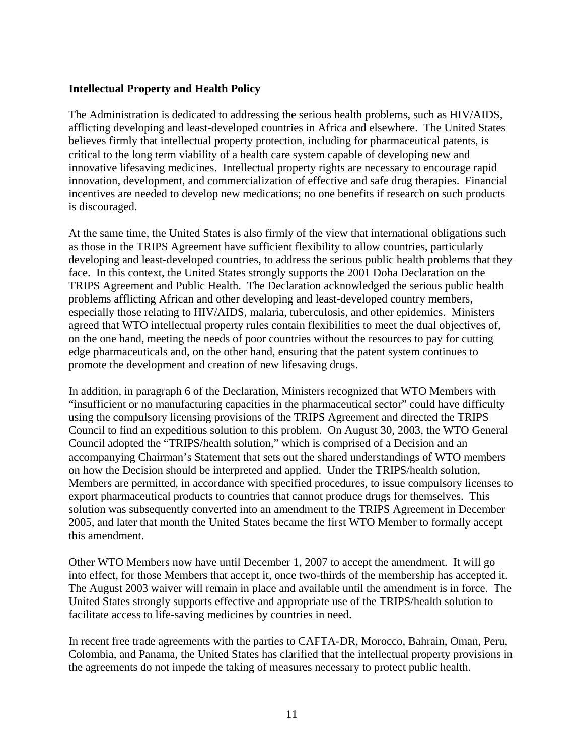## **Intellectual Property and Health Policy**

The Administration is dedicated to addressing the serious health problems, such as HIV/AIDS, afflicting developing and least-developed countries in Africa and elsewhere. The United States believes firmly that intellectual property protection, including for pharmaceutical patents, is critical to the long term viability of a health care system capable of developing new and innovative lifesaving medicines. Intellectual property rights are necessary to encourage rapid innovation, development, and commercialization of effective and safe drug therapies. Financial incentives are needed to develop new medications; no one benefits if research on such products is discouraged.

At the same time, the United States is also firmly of the view that international obligations such as those in the TRIPS Agreement have sufficient flexibility to allow countries, particularly developing and least-developed countries, to address the serious public health problems that they face. In this context, the United States strongly supports the 2001 Doha Declaration on the TRIPS Agreement and Public Health. The Declaration acknowledged the serious public health problems afflicting African and other developing and least-developed country members, especially those relating to HIV/AIDS, malaria, tuberculosis, and other epidemics. Ministers agreed that WTO intellectual property rules contain flexibilities to meet the dual objectives of, on the one hand, meeting the needs of poor countries without the resources to pay for cutting edge pharmaceuticals and, on the other hand, ensuring that the patent system continues to promote the development and creation of new lifesaving drugs.

In addition, in paragraph 6 of the Declaration, Ministers recognized that WTO Members with "insufficient or no manufacturing capacities in the pharmaceutical sector" could have difficulty using the compulsory licensing provisions of the TRIPS Agreement and directed the TRIPS Council to find an expeditious solution to this problem. On August 30, 2003, the WTO General Council adopted the "TRIPS/health solution," which is comprised of a Decision and an accompanying Chairman's Statement that sets out the shared understandings of WTO members on how the Decision should be interpreted and applied. Under the TRIPS/health solution, Members are permitted, in accordance with specified procedures, to issue compulsory licenses to export pharmaceutical products to countries that cannot produce drugs for themselves. This solution was subsequently converted into an amendment to the TRIPS Agreement in December 2005, and later that month the United States became the first WTO Member to formally accept this amendment.

Other WTO Members now have until December 1, 2007 to accept the amendment. It will go into effect, for those Members that accept it, once two-thirds of the membership has accepted it. The August 2003 waiver will remain in place and available until the amendment is in force. The United States strongly supports effective and appropriate use of the TRIPS/health solution to facilitate access to life-saving medicines by countries in need.

In recent free trade agreements with the parties to CAFTA-DR, Morocco, Bahrain, Oman, Peru, Colombia, and Panama, the United States has clarified that the intellectual property provisions in the agreements do not impede the taking of measures necessary to protect public health.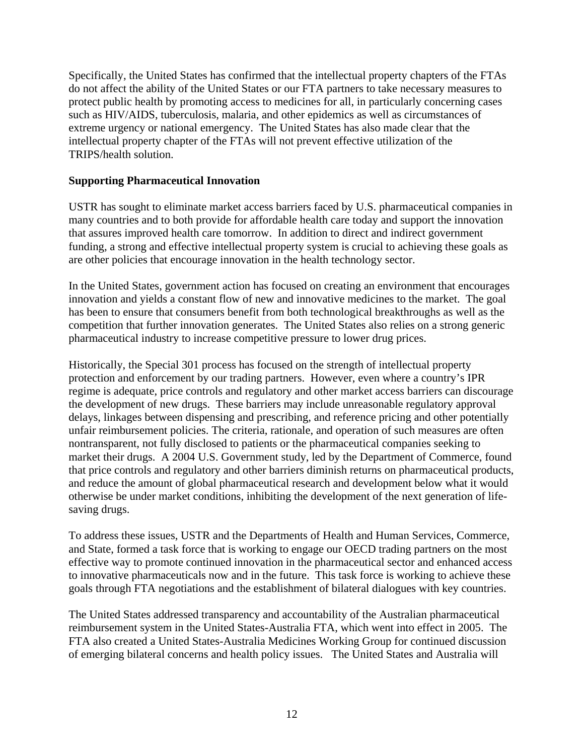Specifically, the United States has confirmed that the intellectual property chapters of the FTAs do not affect the ability of the United States or our FTA partners to take necessary measures to protect public health by promoting access to medicines for all, in particularly concerning cases such as HIV/AIDS, tuberculosis, malaria, and other epidemics as well as circumstances of extreme urgency or national emergency. The United States has also made clear that the intellectual property chapter of the FTAs will not prevent effective utilization of the TRIPS/health solution.

## **Supporting Pharmaceutical Innovation**

USTR has sought to eliminate market access barriers faced by U.S. pharmaceutical companies in many countries and to both provide for affordable health care today and support the innovation that assures improved health care tomorrow. In addition to direct and indirect government funding, a strong and effective intellectual property system is crucial to achieving these goals as are other policies that encourage innovation in the health technology sector.

In the United States, government action has focused on creating an environment that encourages innovation and yields a constant flow of new and innovative medicines to the market. The goal has been to ensure that consumers benefit from both technological breakthroughs as well as the competition that further innovation generates. The United States also relies on a strong generic pharmaceutical industry to increase competitive pressure to lower drug prices.

Historically, the Special 301 process has focused on the strength of intellectual property protection and enforcement by our trading partners. However, even where a country's IPR regime is adequate, price controls and regulatory and other market access barriers can discourage the development of new drugs. These barriers may include unreasonable regulatory approval delays, linkages between dispensing and prescribing, and reference pricing and other potentially unfair reimbursement policies. The criteria, rationale, and operation of such measures are often nontransparent, not fully disclosed to patients or the pharmaceutical companies seeking to market their drugs. A 2004 U.S. Government study, led by the Department of Commerce, found that price controls and regulatory and other barriers diminish returns on pharmaceutical products, and reduce the amount of global pharmaceutical research and development below what it would otherwise be under market conditions, inhibiting the development of the next generation of lifesaving drugs.

To address these issues, USTR and the Departments of Health and Human Services, Commerce, and State, formed a task force that is working to engage our OECD trading partners on the most effective way to promote continued innovation in the pharmaceutical sector and enhanced access to innovative pharmaceuticals now and in the future. This task force is working to achieve these goals through FTA negotiations and the establishment of bilateral dialogues with key countries.

The United States addressed transparency and accountability of the Australian pharmaceutical reimbursement system in the United States-Australia FTA, which went into effect in 2005. The FTA also created a United States-Australia Medicines Working Group for continued discussion of emerging bilateral concerns and health policy issues. The United States and Australia will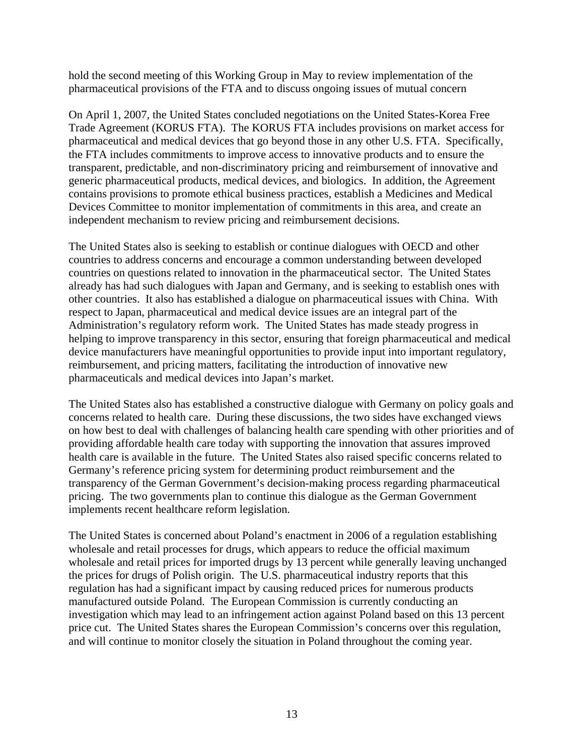hold the second meeting of this Working Group in May to review implementation of the pharmaceutical provisions of the FTA and to discuss ongoing issues of mutual concern

On April 1, 2007, the United States concluded negotiations on the United States-Korea Free Trade Agreement (KORUS FTA). The KORUS FTA includes provisions on market access for pharmaceutical and medical devices that go beyond those in any other U.S. FTA. Specifically, the FTA includes commitments to improve access to innovative products and to ensure the transparent, predictable, and non-discriminatory pricing and reimbursement of innovative and generic pharmaceutical products, medical devices, and biologics. In addition, the Agreement contains provisions to promote ethical business practices, establish a Medicines and Medical Devices Committee to monitor implementation of commitments in this area, and create an independent mechanism to review pricing and reimbursement decisions.

The United States also is seeking to establish or continue dialogues with OECD and other countries to address concerns and encourage a common understanding between developed countries on questions related to innovation in the pharmaceutical sector. The United States already has had such dialogues with Japan and Germany, and is seeking to establish ones with other countries. It also has established a dialogue on pharmaceutical issues with China. With respect to Japan, pharmaceutical and medical device issues are an integral part of the Administration's regulatory reform work. The United States has made steady progress in helping to improve transparency in this sector, ensuring that foreign pharmaceutical and medical device manufacturers have meaningful opportunities to provide input into important regulatory, reimbursement, and pricing matters, facilitating the introduction of innovative new pharmaceuticals and medical devices into Japan's market.

The United States also has established a constructive dialogue with Germany on policy goals and concerns related to health care. During these discussions, the two sides have exchanged views on how best to deal with challenges of balancing health care spending with other priorities and of providing affordable health care today with supporting the innovation that assures improved health care is available in the future. The United States also raised specific concerns related to Germany's reference pricing system for determining product reimbursement and the transparency of the German Government's decision-making process regarding pharmaceutical pricing. The two governments plan to continue this dialogue as the German Government implements recent healthcare reform legislation.

The United States is concerned about Poland's enactment in 2006 of a regulation establishing wholesale and retail processes for drugs, which appears to reduce the official maximum wholesale and retail prices for imported drugs by 13 percent while generally leaving unchanged the prices for drugs of Polish origin. The U.S. pharmaceutical industry reports that this regulation has had a significant impact by causing reduced prices for numerous products manufactured outside Poland. The European Commission is currently conducting an investigation which may lead to an infringement action against Poland based on this 13 percent price cut. The United States shares the European Commission's concerns over this regulation, and will continue to monitor closely the situation in Poland throughout the coming year.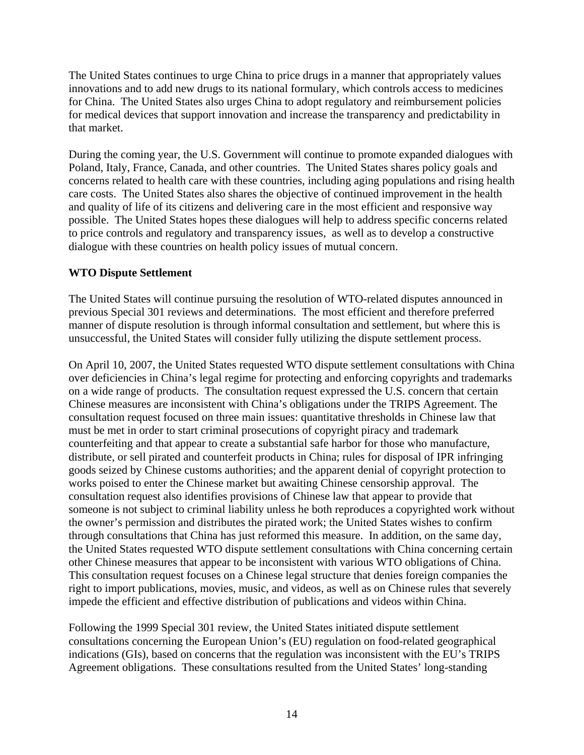The United States continues to urge China to price drugs in a manner that appropriately values innovations and to add new drugs to its national formulary, which controls access to medicines for China. The United States also urges China to adopt regulatory and reimbursement policies for medical devices that support innovation and increase the transparency and predictability in that market.

During the coming year, the U.S. Government will continue to promote expanded dialogues with Poland, Italy, France, Canada, and other countries. The United States shares policy goals and concerns related to health care with these countries, including aging populations and rising health care costs. The United States also shares the objective of continued improvement in the health and quality of life of its citizens and delivering care in the most efficient and responsive way possible. The United States hopes these dialogues will help to address specific concerns related to price controls and regulatory and transparency issues, as well as to develop a constructive dialogue with these countries on health policy issues of mutual concern.

# **WTO Dispute Settlement**

The United States will continue pursuing the resolution of WTO-related disputes announced in previous Special 301 reviews and determinations. The most efficient and therefore preferred manner of dispute resolution is through informal consultation and settlement, but where this is unsuccessful, the United States will consider fully utilizing the dispute settlement process.

On April 10, 2007, the United States requested WTO dispute settlement consultations with China over deficiencies in China's legal regime for protecting and enforcing copyrights and trademarks on a wide range of products. The consultation request expressed the U.S. concern that certain Chinese measures are inconsistent with China's obligations under the TRIPS Agreement. The consultation request focused on three main issues: quantitative thresholds in Chinese law that must be met in order to start criminal prosecutions of copyright piracy and trademark counterfeiting and that appear to create a substantial safe harbor for those who manufacture, distribute, or sell pirated and counterfeit products in China; rules for disposal of IPR infringing goods seized by Chinese customs authorities; and the apparent denial of copyright protection to works poised to enter the Chinese market but awaiting Chinese censorship approval. The consultation request also identifies provisions of Chinese law that appear to provide that someone is not subject to criminal liability unless he both reproduces a copyrighted work without the owner's permission and distributes the pirated work; the United States wishes to confirm through consultations that China has just reformed this measure. In addition, on the same day, the United States requested WTO dispute settlement consultations with China concerning certain other Chinese measures that appear to be inconsistent with various WTO obligations of China. This consultation request focuses on a Chinese legal structure that denies foreign companies the right to import publications, movies, music, and videos, as well as on Chinese rules that severely impede the efficient and effective distribution of publications and videos within China.

Following the 1999 Special 301 review, the United States initiated dispute settlement consultations concerning the European Union's (EU) regulation on food-related geographical indications (GIs), based on concerns that the regulation was inconsistent with the EU's TRIPS Agreement obligations. These consultations resulted from the United States' long-standing